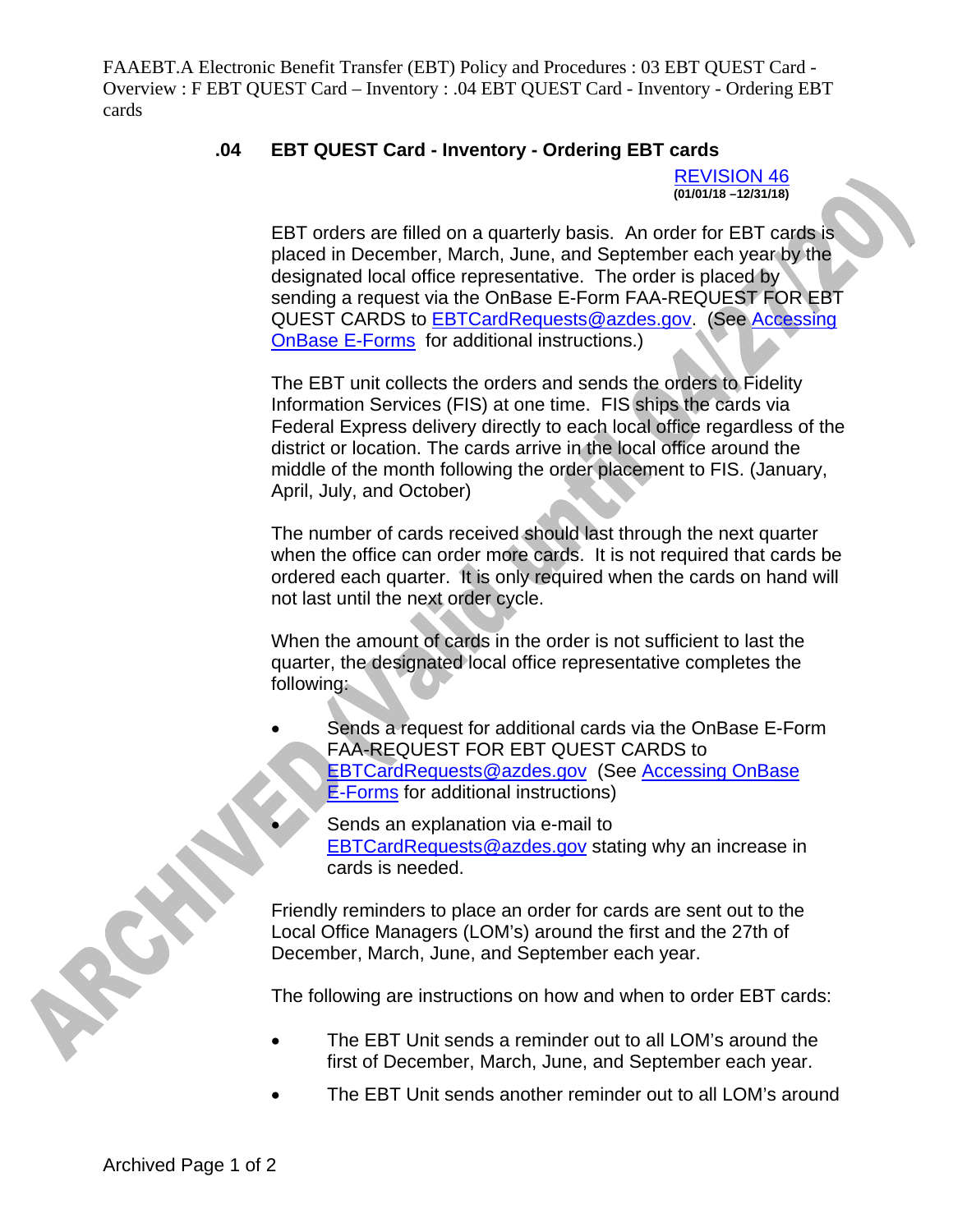FAAEBT.A Electronic Benefit Transfer (EBT) Policy and Procedures : 03 EBT QUEST Card - Overview : F EBT QUEST Card – Inventory : .04 EBT QUEST Card - Inventory - Ordering EBT cards

## **.04 EBT QUEST Card - Inventory - Ordering EBT cards**

REVISION 46 **(01/01/18 –12/31/18)** 

EBT orders are filled on a quarterly basis. An order for EBT cards is placed in December, March, June, and September each year by the designated local office representative. The order is placed by sending a request via the OnBase E-Form FAA-REQUEST FOR EBT QUEST CARDS to **EBTCardRequests@azdes.gov.** (See Accessing OnBase E-Forms for additional instructions.)

The EBT unit collects the orders and sends the orders to Fidelity Information Services (FIS) at one time. FIS ships the cards via Federal Express delivery directly to each local office regardless of the district or location. The cards arrive in the local office around the middle of the month following the order placement to FIS. (January, April, July, and October)

The number of cards received should last through the next quarter when the office can order more cards. It is not required that cards be ordered each quarter. It is only required when the cards on hand will not last until the next order cycle.

When the amount of cards in the order is not sufficient to last the quarter, the designated local office representative completes the following:

- Sends a request for additional cards via the OnBase E-Form FAA-REQUEST FOR EBT QUEST CARDS to EBTCardRequests@azdes.gov (See Accessing OnBase E-Forms for additional instructions)
	- Sends an explanation via e-mail to **EBTCardRequests@azdes.gov stating why an increase in** cards is needed.

Friendly reminders to place an order for cards are sent out to the Local Office Managers (LOM's) around the first and the 27th of December, March, June, and September each year.

The following are instructions on how and when to order EBT cards:

- The EBT Unit sends a reminder out to all LOM's around the first of December, March, June, and September each year.
- The EBT Unit sends another reminder out to all LOM's around